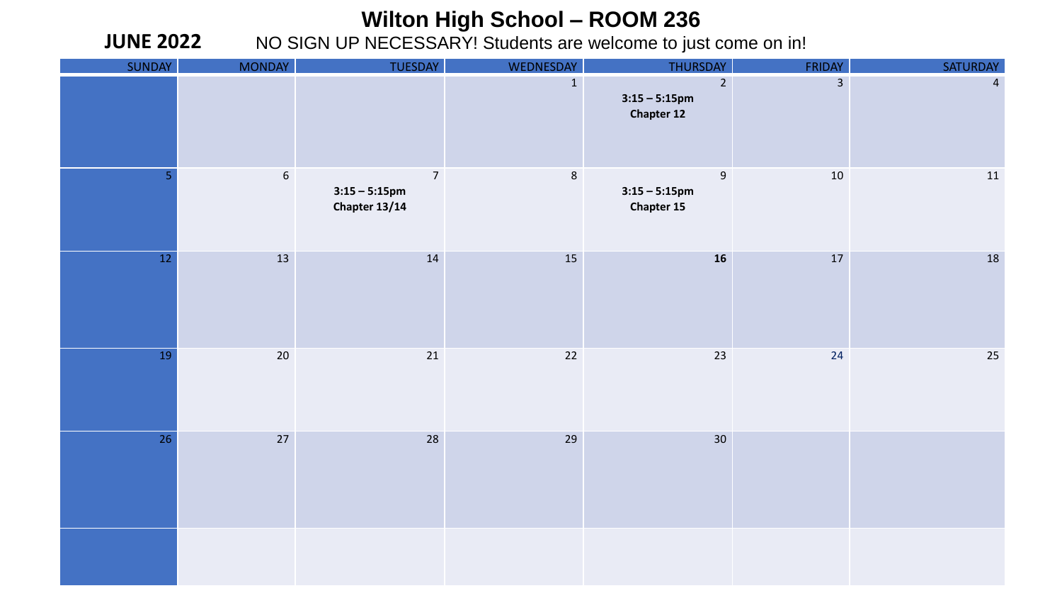## **Wilton High School – ROOM 236**

NO SIGN UP NECESSARY! Students are welcome to just come on in!

**JUNE 2022**

| SUNDAY         | <b>MONDAY</b>    | TUESDAY                                             | WEDNESDAY    | THURSDAY                                                  | <b>FRIDAY</b>  | SATURDAY       |
|----------------|------------------|-----------------------------------------------------|--------------|-----------------------------------------------------------|----------------|----------------|
|                |                  |                                                     | $\mathbf{1}$ | $\overline{2}$<br>$3:15 - 5:15$ pm<br><b>Chapter 12</b>   | $\overline{3}$ | $\overline{4}$ |
| 5 <sub>1</sub> | $\boldsymbol{6}$ | $\overline{7}$<br>$3:15 - 5:15$ pm<br>Chapter 13/14 | $\,$ 8       | $\boldsymbol{9}$<br>$3:15 - 5:15$ pm<br><b>Chapter 15</b> | $10\,$         | 11             |
| 12             | 13               | 14                                                  | 15           | 16                                                        | $17\,$         | 18             |
| 19             | $20\,$           | $21\,$                                              | $22\,$       | 23                                                        | 24             | $25\,$         |
| 26             | 27               | 28                                                  | 29           | 30                                                        |                |                |
|                |                  |                                                     |              |                                                           |                |                |